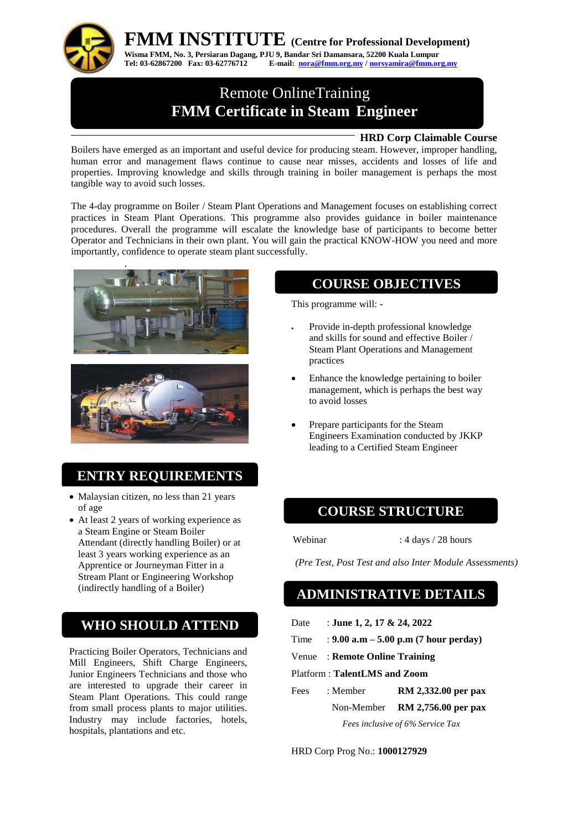**FMM INSTITUTE (Centre for Professional Development)**



**Wisma FMM, No. 3, Persiaran Dagang, PJU 9, Bandar Sri Damansara, 52200 Kuala Lumpur Tel: 03-62867200 Fax: 03-62776712 E-mail: [nora@fmm.org.my](mailto:nora@fmm.org.my) [/ norsyamira@fmm.org.my](mailto:norsyamira@fmm.org.my)**

## Remote OnlineTraining **FMM Certificate in Steam Engineer**

#### **HRD Corp Claimable Course**

Boilers have emerged as an important and useful device for producing steam. However, improper handling, human error and management flaws continue to cause near misses, accidents and losses of life and properties. Improving knowledge and skills through training in boiler management is perhaps the most tangible way to avoid such losses.

The 4-day programme on Boiler / Steam Plant Operations and Management focuses on establishing correct practices in Steam Plant Operations. This programme also provides guidance in boiler maintenance procedures. Overall the programme will escalate the knowledge base of participants to become better Operator and Technicians in their own plant. You will gain the practical KNOW-HOW you need and more importantly, confidence to operate steam plant successfully.





### **ENTRY REQUIREMENTS**

- Malaysian citizen, no less than 21 years of age
- At least 2 years of working experience as a Steam Engine or Steam Boiler Attendant (directly handling Boiler) or at least 3 years working experience as an Apprentice or Journeyman Fitter in a Stream Plant or Engineering Workshop

### **WHO SHOULD ATTEND**

Practicing Boiler Operators, Technicians and Mill Engineers, Shift Charge Engineers, Junior Engineers Technicians and those who are interested to upgrade their career in Steam Plant Operations. This could range from small process plants to major utilities. Industry may include factories, hotels, hospitals, plantations and etc.

#### **COURSE OBJECTIVES**

l

This programme will: -

- Provide in-depth professional knowledge and skills for sound and effective Boiler / Steam Plant Operations and Management practices
- Enhance the knowledge pertaining to boiler management, which is perhaps the best way to avoid losses
- Prepare participants for the Steam Engineers Examination conducted by JKKP leading to a Certified Steam Engineer

### **COURSE STRUCTURE**

Webinar : 4 days / 28 hours

*(Pre Test, Post Test and also Inter Module Assessments)*

# (indirectly handling of a Boiler) **ADMINISTRATIVE DETAILS**

- Date : **June 1, 2, 17 & 24, 2022**
- Time : **9.00 a.m – 5.00 p.m (7 hour perday)**
- Venue : **Remote Online Training**
- Platform : **TalentLMS and Zoom**
- Fees : Member **RM 2,332.00 per pax**  Non-Member **RM 2,756.00 per pax**  *Fees inclusive of 6% Service Tax*

HRD Corp Prog No.: **1000127929**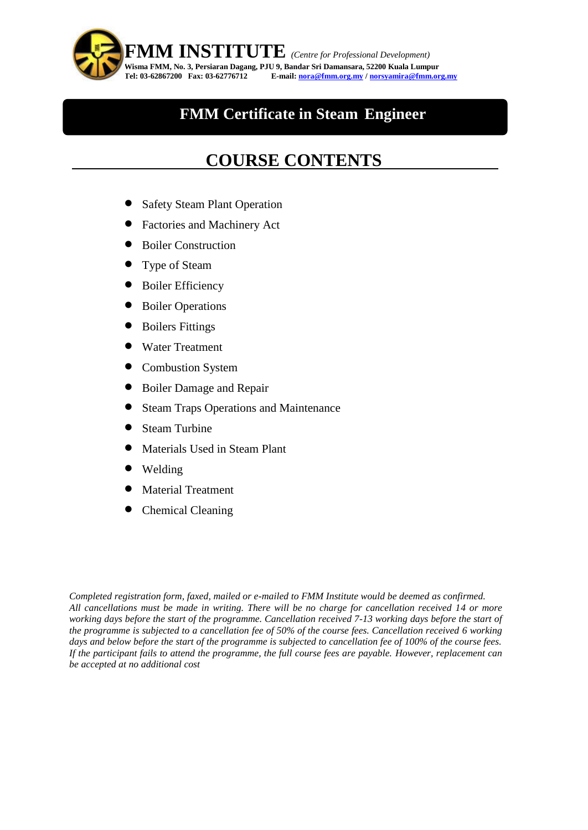

# **FMM Certificate in Steam Engineer**

# **COURSE CONTENTS**

- **Safety Steam Plant Operation**
- Factories and Machinery Act
- Boiler Construction
- Type of Steam
- **Boiler Efficiency**
- **Boiler Operations**
- **Boilers Fittings**
- **Water Treatment**
- Combustion System
- Boiler Damage and Repair
- Steam Traps Operations and Maintenance
- **Steam Turbine**
- Materials Used in Steam Plant
- Welding
- Material Treatment
- Chemical Cleaning

*Completed registration form, faxed, mailed or e-mailed to FMM Institute would be deemed as confirmed. All cancellations must be made in writing. There will be no charge for cancellation received 14 or more working days before the start of the programme. Cancellation received 7-13 working days before the start of the programme is subjected to a cancellation fee of 50% of the course fees. Cancellation received 6 working days and below before the start of the programme is subjected to cancellation fee of 100% of the course fees. If the participant fails to attend the programme, the full course fees are payable. However, replacement can be accepted at no additional cost*